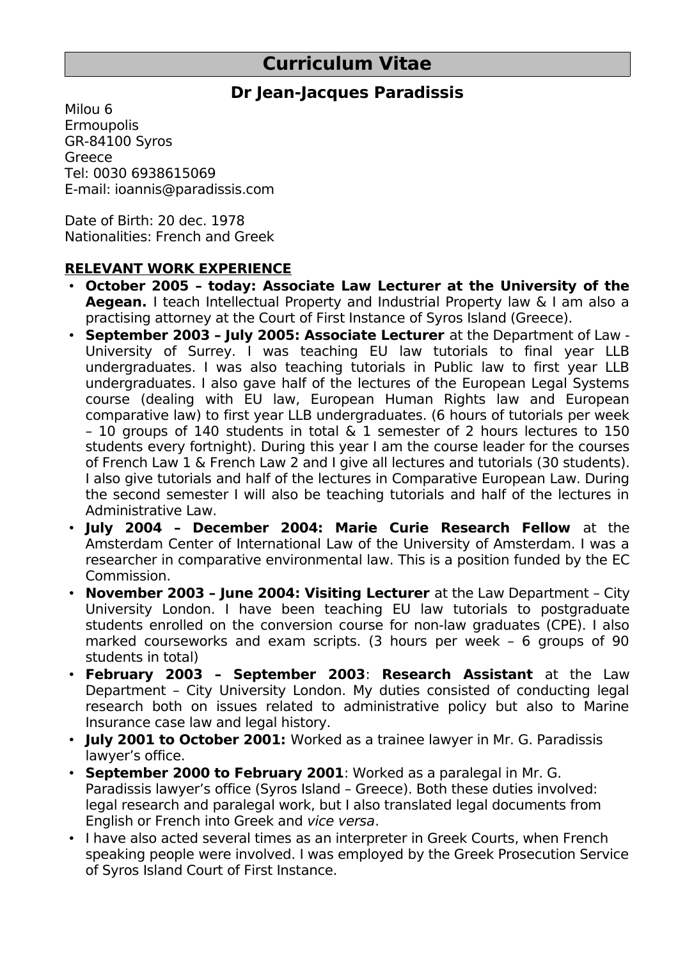# **Curriculum Vitae**

## **Dr Jean-Jacques Paradissis**

Milou 6 **Ermoupolis** GR-84100 Syros Greece Tel: 0030 6938615069 E-mail: ioannis@paradissis.com

Date of Birth: 20 dec. 1978 Nationalities: French and Greek

### **RELEVANT WORK EXPERIENCE**

- **October 2005 today: Associate Law Lecturer at the University of the Aegean.** I teach Intellectual Property and Industrial Property law & I am also a practising attorney at the Court of First Instance of Syros Island (Greece).
- **September 2003 July 2005: Associate Lecturer** at the Department of Law University of Surrey. I was teaching EU law tutorials to final year LLB undergraduates. I was also teaching tutorials in Public law to first year LLB undergraduates. I also gave half of the lectures of the European Legal Systems course (dealing with EU law, European Human Rights law and European comparative law) to first year LLB undergraduates. (6 hours of tutorials per week – 10 groups of 140 students in total & 1 semester of 2 hours lectures to 150 students every fortnight). During this year I am the course leader for the courses of French Law 1 & French Law 2 and I give all lectures and tutorials (30 students). I also give tutorials and half of the lectures in Comparative European Law. During the second semester I will also be teaching tutorials and half of the lectures in Administrative Law.
- **July 2004 December 2004: Marie Curie Research Fellow** at the Amsterdam Center of International Law of the University of Amsterdam. I was a researcher in comparative environmental law. This is a position funded by the EC Commission.
- **November 2003 June 2004: Visiting Lecturer** at the Law Department City University London. I have been teaching EU law tutorials to postgraduate students enrolled on the conversion course for non-law graduates (CPE). I also marked courseworks and exam scripts. (3 hours per week – 6 groups of 90 students in total)
- **February 2003 September 2003**: **Research Assistant** at the Law Department – City University London. My duties consisted of conducting legal research both on issues related to administrative policy but also to Marine Insurance case law and legal history.
- **July 2001 to October 2001:** Worked as a trainee lawyer in Mr. G. Paradissis lawyer's office.
- **September 2000 to February 2001**: Worked as a paralegal in Mr. G. Paradissis lawyer's office (Syros Island – Greece). Both these duties involved: legal research and paralegal work, but I also translated legal documents from English or French into Greek and vice versa.
- I have also acted several times as an interpreter in Greek Courts, when French speaking people were involved. I was employed by the Greek Prosecution Service of Syros Island Court of First Instance.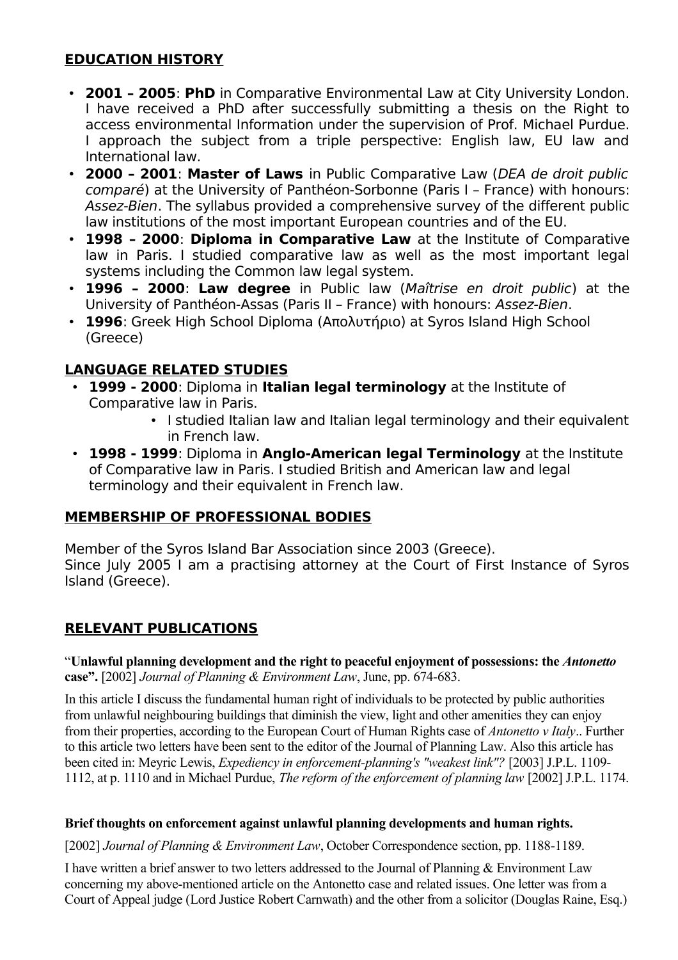### **EDUCATION HISTORY**

- **2001 2005**: **PhD** in Comparative Environmental Law at City University London. I have received a PhD after successfully submitting a thesis on the Right to access environmental Information under the supervision of Prof. Michael Purdue. I approach the subject from a triple perspective: English law, EU law and International law.
- **2000 2001**: **Master of Laws** in Public Comparative Law (DEA de droit public comparé) at the University of Panthéon-Sorbonne (Paris I – France) with honours: Assez-Bien. The syllabus provided a comprehensive survey of the different public law institutions of the most important European countries and of the EU.
- **1998 2000**: **Diploma in Comparative Law** at the Institute of Comparative law in Paris. I studied comparative law as well as the most important legal systems including the Common law legal system.
- **1996 2000**: **Law degree** in Public law (Maîtrise en droit public) at the University of Panthéon-Assas (Paris II – France) with honours: Assez-Bien.
- **1996**: Greek High School Diploma (Απολυτήριο) at Syros Island High School (Greece)

### **LANGUAGE RELATED STUDIES**

- **1999 2000**: Diploma in **Italian legal terminology** at the Institute of Comparative law in Paris.
	- I studied Italian law and Italian legal terminology and their equivalent in French law.
- **1998 1999**: Diploma in **Anglo-American legal Terminology** at the Institute of Comparative law in Paris. I studied British and American law and legal terminology and their equivalent in French law.

### **MEMBERSHIP OF PROFESSIONAL BODIES**

Member of the Syros Island Bar Association since 2003 (Greece). Since July 2005 I am a practising attorney at the Court of First Instance of Syros Island (Greece).

### **RELEVANT PUBLICATIONS**

"**Unlawful planning development and the right to peaceful enjoyment of possessions: the** *Antonetto* **case".** [2002] *Journal of Planning & Environment Law*, June, pp. 674-683.

In this article I discuss the fundamental human right of individuals to be protected by public authorities from unlawful neighbouring buildings that diminish the view, light and other amenities they can enjoy from their properties, according to the European Court of Human Rights case of *Antonetto v Italy*.. Further to this article two letters have been sent to the editor of the Journal of Planning Law. Also this article has been cited in: Meyric Lewis, *Expediency in enforcement-planning's "weakest link"?* [2003] J.P.L. 1109- 1112, at p. 1110 and in Michael Purdue, *The reform of the enforcement of planning law* [2002] J.P.L. 1174.

#### **Brief thoughts on enforcement against unlawful planning developments and human rights.**

[2002] *Journal of Planning & Environment Law*, October Correspondence section, pp. 1188-1189.

I have written a brief answer to two letters addressed to the Journal of Planning & Environment Law concerning my above-mentioned article on the Antonetto case and related issues. One letter was from a Court of Appeal judge (Lord Justice Robert Carnwath) and the other from a solicitor (Douglas Raine, Esq.)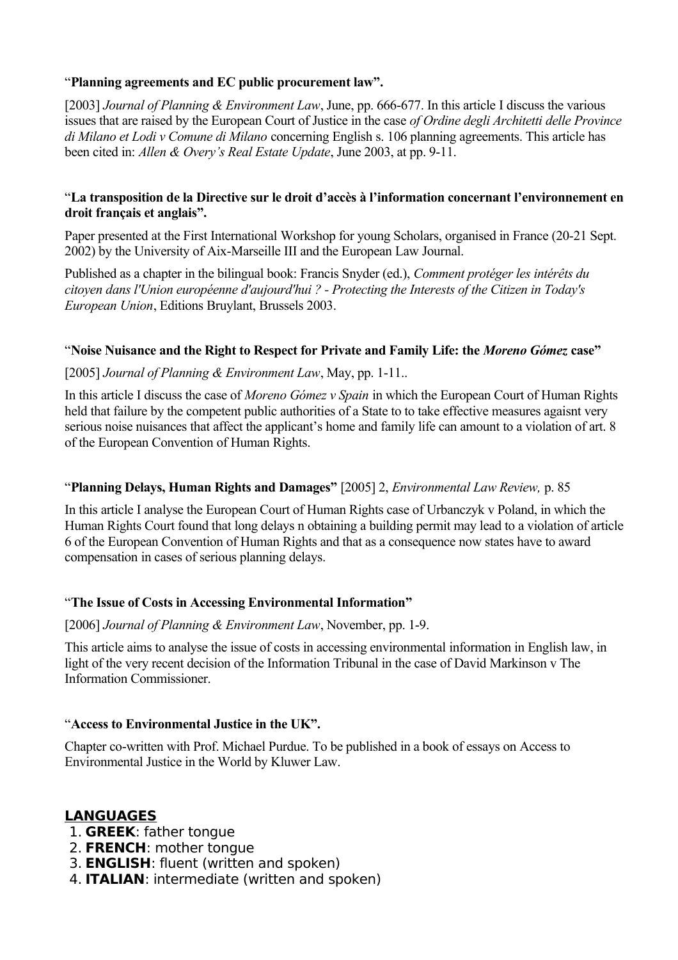#### "**Planning agreements and EC public procurement law".**

[2003] *Journal of Planning & Environment Law*, June, pp. 666-677. In this article I discuss the various issues that are raised by the European Court of Justice in the case *of Ordine degli Architetti delle Province di Milano et Lodi v Comune di Milano* concerning English s. 106 planning agreements. This article has been cited in: *Allen & Overy's Real Estate Update*, June 2003, at pp. 9-11.

#### "**La transposition de la Directive sur le droit d'accès à l'information concernant l'environnement en droit français et anglais".**

Paper presented at the First International Workshop for young Scholars, organised in France (20-21 Sept. 2002) by the University of Aix-Marseille III and the European Law Journal.

Published as a chapter in the bilingual book: Francis Snyder (ed.), *Comment protéger les intérêts du citoyen dans l'Union européenne d'aujourd'hui ? - Protecting the Interests of the Citizen in Today's European Union*, Editions Bruylant, Brussels 2003.

#### "**Noise Nuisance and the Right to Respect for Private and Family Life: the** *Moreno Gómez* **case"**

#### [2005] *Journal of Planning & Environment Law*, May, pp. 1-11..

In this article I discuss the case of *Moreno Gómez v Spain* in which the European Court of Human Rights held that failure by the competent public authorities of a State to to take effective measures agaisnt very serious noise nuisances that affect the applicant's home and family life can amount to a violation of art. 8 of the European Convention of Human Rights.

#### "**Planning Delays, Human Rights and Damages"** [2005] 2, *Environmental Law Review,* p. 85

In this article I analyse the European Court of Human Rights case of Urbanczyk v Poland, in which the Human Rights Court found that long delays n obtaining a building permit may lead to a violation of article 6 of the European Convention of Human Rights and that as a consequence now states have to award compensation in cases of serious planning delays.

#### "**The Issue of Costs in Accessing Environmental Information"**

[2006] *Journal of Planning & Environment Law*, November, pp. 1-9.

This article aims to analyse the issue of costs in accessing environmental information in English law, in light of the very recent decision of the Information Tribunal in the case of David Markinson v The Information Commissioner.

#### "**Access to Environmental Justice in the UK".**

Chapter co-written with Prof. Michael Purdue. To be published in a book of essays on Access to Environmental Justice in the World by Kluwer Law.

### **LANGUAGES**

- 1. **GREEK**: father tongue
- 2. **FRENCH**: mother tongue
- 3. **ENGLISH**: fluent (written and spoken)
- 4. **ITALIAN**: intermediate (written and spoken)